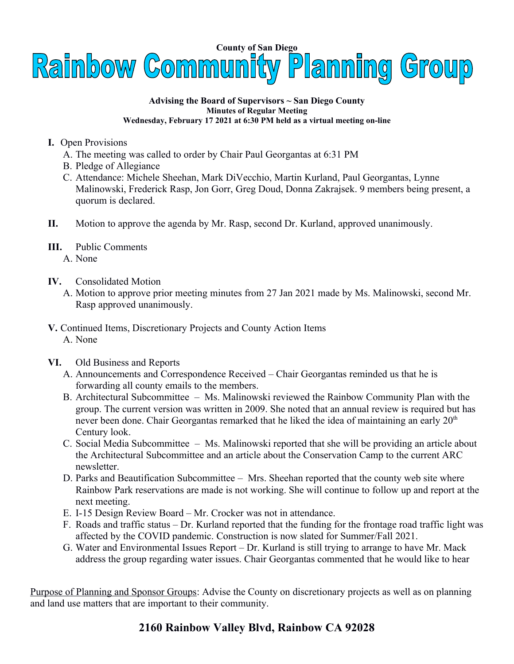

## **Advising the Board of Supervisors ~ San Diego County Minutes of Regular Meeting Wednesday, February 17 2021 at 6:30 PM held as a virtual meeting on-line**

- **I.** Open Provisions
	- A. The meeting was called to order by Chair Paul Georgantas at 6:31 PM
	- B. Pledge of Allegiance
	- C. Attendance: Michele Sheehan, Mark DiVecchio, Martin Kurland, Paul Georgantas, Lynne Malinowski, Frederick Rasp, Jon Gorr, Greg Doud, Donna Zakrajsek. 9 members being present, a quorum is declared.
- **II.** Motion to approve the agenda by Mr. Rasp, second Dr. Kurland, approved unanimously.
- **III.** Public Comments A. None
- **IV.** Consolidated Motion
	- A. Motion to approve prior meeting minutes from 27 Jan 2021 made by Ms. Malinowski, second Mr. Rasp approved unanimously.
- **V.** Continued Items, Discretionary Projects and County Action Items A. None
- **VI.** Old Business and Reports
	- A. Announcements and Correspondence Received Chair Georgantas reminded us that he is forwarding all county emails to the members.
	- B. Architectural Subcommittee Ms. Malinowski reviewed the Rainbow Community Plan with the group. The current version was written in 2009. She noted that an annual review is required but has never been done. Chair Georgantas remarked that he liked the idea of maintaining an early  $20<sup>th</sup>$ Century look.
	- C. Social Media Subcommittee Ms. Malinowski reported that she will be providing an article about the Architectural Subcommittee and an article about the Conservation Camp to the current ARC newsletter.
	- D. Parks and Beautification Subcommittee Mrs. Sheehan reported that the county web site where Rainbow Park reservations are made is not working. She will continue to follow up and report at the next meeting.
	- E. I-15 Design Review Board Mr. Crocker was not in attendance.
	- F. Roads and traffic status Dr. Kurland reported that the funding for the frontage road traffic light was affected by the COVID pandemic. Construction is now slated for Summer/Fall 2021.
	- G. Water and Environmental Issues Report Dr. Kurland is still trying to arrange to have Mr. Mack address the group regarding water issues. Chair Georgantas commented that he would like to hear

Purpose of Planning and Sponsor Groups: Advise the County on discretionary projects as well as on planning and land use matters that are important to their community.

## **2160 Rainbow Valley Blvd, Rainbow CA 92028**